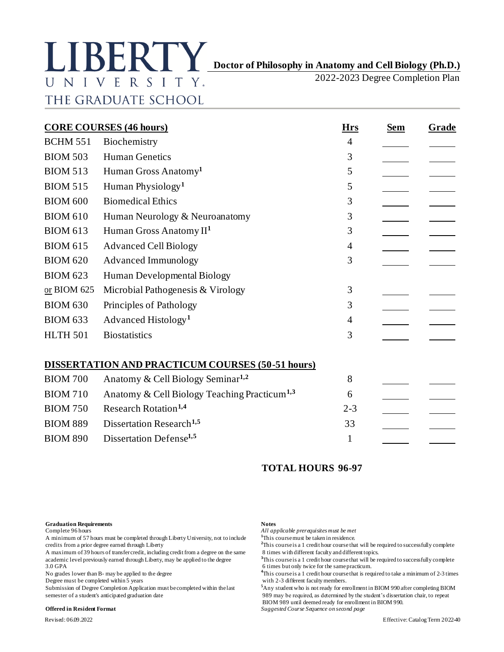# **Doctor of Philosophy in Anatomy and Cell Biology (Ph.D.)** UNIVERSITY. THE GRADUATE SCHOOL

2022-2023 Degree Completion Plan

| <b>CORE COURSES (46 hours)</b> |                                                          |                 | <b>Sem</b> | Grade |
|--------------------------------|----------------------------------------------------------|-----------------|------------|-------|
| <b>BCHM 551</b>                | Biochemistry                                             | <b>Hrs</b><br>4 |            |       |
| <b>BIOM 503</b>                | <b>Human Genetics</b>                                    | 3               |            |       |
| <b>BIOM 513</b>                | Human Gross Anatomy <sup>1</sup>                         | 5               |            |       |
| <b>BIOM 515</b>                | Human Physiology <sup>1</sup>                            | 5               |            |       |
| <b>BIOM 600</b>                | <b>Biomedical Ethics</b>                                 | 3               |            |       |
| <b>BIOM 610</b>                | Human Neurology & Neuroanatomy                           | 3               |            |       |
| <b>BIOM 613</b>                | Human Gross Anatomy II <sup>1</sup>                      | 3               |            |       |
| <b>BIOM 615</b>                | <b>Advanced Cell Biology</b>                             | 4               |            |       |
| <b>BIOM 620</b>                | <b>Advanced Immunology</b>                               | 3               |            |       |
| <b>BIOM 623</b>                | Human Developmental Biology                              |                 |            |       |
| or BIOM 625                    | Microbial Pathogenesis & Virology                        | 3               |            |       |
| <b>BIOM 630</b>                | Principles of Pathology                                  | 3               |            |       |
| <b>BIOM 633</b>                | Advanced Histology <sup>1</sup>                          | 4               |            |       |
| <b>HLTH 501</b>                | <b>Biostatistics</b>                                     | 3               |            |       |
|                                | <b>DISSERTATION AND PRACTICUM COURSES (50-51 hours)</b>  |                 |            |       |
| <b>BIOM 700</b>                | Anatomy & Cell Biology Seminar <sup>1,2</sup>            | 8               |            |       |
| <b>BIOM 710</b>                | Anatomy & Cell Biology Teaching Practicum <sup>1,3</sup> | 6               |            |       |
| <b>BIOM 750</b>                | Research Rotation <sup>1,4</sup>                         | $2 - 3$         |            |       |
| <b>BIOM 889</b>                | Dissertation Research <sup>1,5</sup>                     | 33              |            |       |
| <b>BIOM 890</b>                | Dissertation Defense <sup>1,5</sup>                      | 1               |            |       |

# **TOTAL HOURS 96-97**

# **Graduation Requirements Notes**<br> **Notes**<br> **Complete 96 hours All ap**

A minimum of 57 hours must be completed through Liberty University, not to include

A maximum of 39 hours of transfer credit, including credit from a degree on the same academic level previously earned through Liberty, may be applied to the degree <sup>3</sup>This course is a 1 credit hour course that will be required to successfully complete 3.0 GPA

Degree must be completed within 5 years

semester of a student's anticipated graduation date 989 may be required, as determined by the student's dissertation chair, to repeat

All applicable prerequisites must be met<sup>1</sup>This course must be taken in residence.

credits from a prior degree earned through Liberty **2**This course is a 1 credit hour course that will be required to successfully complete<br>A maximum of 39 hours of transfer credit, including credit from a degree on the sam

6 times but only twice for the same practicum.

No grades lower than B- may be applied to the degree **4**This course is a 1 credit hour course that is required to take a minimum of 2-3 times<br>Degree must be completed within 5 years **b** with 2-3 different faculty members.

Submission of Degree Completion Application must be completed within the last **<sup>5</sup>**Any student who is not ready for enrollment in BIOM 990 after completing BIOM BIOM 989 until deemed ready for enrollment in BIOM 990. **Offered in Resident Format** *Suggested Course Sequence on second page*